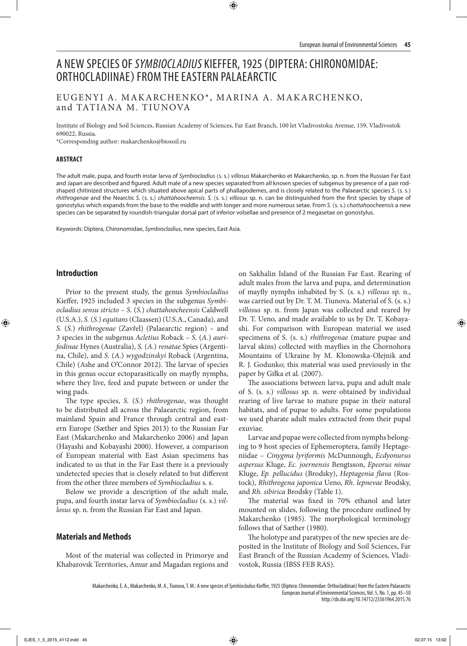# A NEW SPECIES OF *SYMBIOCLADIUS* KIEFFER, 1925 (DIPTERA: CHIRONOMIDAE: ORTHOCLADIINAE) FROM THE EASTERN PALAEARCTIC

# EUGENYI A. MAKARCHENKO\*, MARINA A. MAKARCHENKO, and TATIANA M. TIUNOVA

Institute of Biology and Soil Sciences, Russian Academy of Sciences, Far East Branch, 100 let Vladivostoku Avenue, 159, Vladivostok 690022, Russia.

\*Corresponding author: makarchenko@biosoil.ru

#### **ABSTRACT**

The adult male, pupa, and fourth instar larva of *Symbiocladius* (s. s.) *villosus* Makarchenko et Makarchenko, sp. n. from the Russian Far East and Japan are described and figured. Adult male of a new species separated from all known species of subgenus by presence of a pair rodshaped chitinized structures which situated above apical parts of phallapodemes, and is closely related to the Palaearctic species *S.* (s. s.) *rhithrogenae* and the Nearctic *S.* (s. s.) *chattahoocheensis*. *S.* (s. s.) *villosus* sp. n. can be distinguished from the first species by shape of gonostylus which expands from the base to the middle and with longer and more numerous setae. From *S.* (s. s.) *chattahoocheensis* a new species can be separated by roundish-triangular dorsal part of inferior volsellae and presence of 2 megasetae on gonostylus.

Keywords: Diptera, Chironomidae, *Symbiocladius*, new species, East Asia.

### **Introduction**

Prior to the present study, the genus *Symbiocladius* Kieffer, 1925 included 3 species in the subgenus *Symbiocladius sensu stricto* – *S.* (*S.*) *chattahoocheensis* Caldwell (U.S.A.), *S.* (*S.*) *equitans* (Claassen) (U.S.A., Canada), and *S.* (*S.*) *rhithrogenae* (Zavřel) (Palaearctic region) – and 3 species in the subgenus *Acletius* Roback – *S.* (*A.*) *aurifodinae* Hynes (Australia), *S.* (*A.*) *renatae* Spies (Argentina, Chile), and *S.* (*A.*) *wygodzinskyi* Roback (Argentina, Chile) (Ashe and O'Connor 2012). The larvae of species in this genus occur ectoparasitically on mayfly nymphs, where they live, feed and pupate between or under the wing pads.

The type species, *S.* (*S.*) *rhithrogenae*, was thought to be distributed all across the Palaearctic region, from mainland Spain and France through central and eastern Europe (Sæther and Spies 2013) to the Russian Far East (Makarchenko and Makarchenko 2006) and Japan (Hayashi and Kobayashi 2000). However, a comparison of European material with East Asian specimens has indicated to us that in the Far East there is a previously undetected species that is closely related to but different from the other three members of *Symbiocladius* s. s.

Below we provide a description of the adult male, pupa, and fourth instar larva of *Symbiocladius* (s. s.) *villosus* sp. n. from the Russian Far East and Japan.

# **Materials and Methods**

Most of the material was collected in Primorye and Khabarovsk Territories, Amur and Magadan regions and

on Sakhalin Island of the Russian Far East. Rearing of adult males from the larva and pupa, and determination of mayfly nymphs inhabited by S. (s. s.) *villosus* sp. n., was carried out by Dr. T. M. Tiunova. Material of S. (s. s.) *villosus* sp. n. from Japan was collected and reared by Dr. T. Ueno, and made available to us by Dr. T. Kobayashi. For comparison with European material we used specimens of S. (s. s.) *rhithrogenae* (mature pupae and larval skins) collected with mayflies in the Chornohora Mountains of Ukraine by M. Kłonowska-Olejnik and R. J. Godunko; this material was used previously in the paper by Giłka et al. (2007).

The associations between larva, pupa and adult male of S. (s. s.) *villosus* sp. n. were obtained by individual rearing of live larvae to mature pupae in their natural habitats, and of pupae to adults. For some populations we used pharate adult males extracted from their pupal exuviae.

Larvae and pupae were collected from nymphs belonging to 9 host species of Ephemeroptera, family Heptageniidae – *Cinygma lyriformis* McDunnough, *Ecdyonurus aspersus* Kluge, *Ec. joernensis* Bengtsson, *Epeorus ninae*  Kluge, *Ep. pellucidus* (Brodsky), *Heptagenia flava* (Rostock), *Rhithrogena japonica* Ueno, *Rh. lepnevae* Brodsky, and *Rh. sibirica* Brodsky (Table 1).

The material was fixed in 70% ethanol and later mounted on slides, following the procedure outlined by Makarchenko (1985). The morphological terminology follows that of Sæther (1980).

The holotype and paratypes of the new species are deposited in the Institute of Biology and Soil Sciences, Far East Branch of the Russian Academy of Sciences, Vladivostok, Russia (IBSS FEB RAS).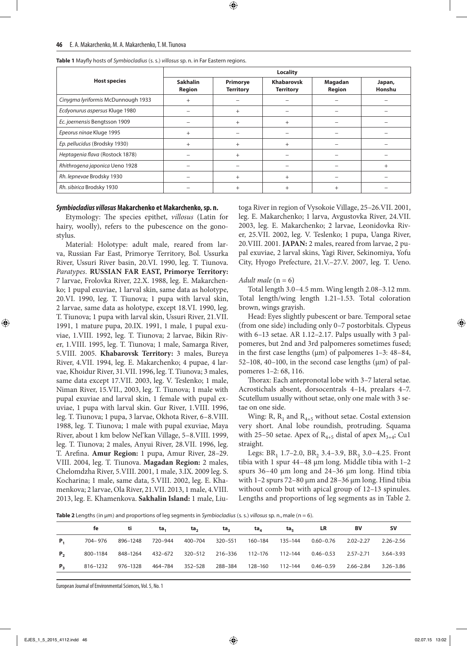|                                    | <b>Locality</b>           |                              |                                       |                          |                  |  |  |  |
|------------------------------------|---------------------------|------------------------------|---------------------------------------|--------------------------|------------------|--|--|--|
| <b>Host species</b>                | <b>Sakhalin</b><br>Region | Primorye<br><b>Territory</b> | <b>Khabarovsk</b><br><b>Territory</b> | Magadan<br><b>Region</b> | Japan,<br>Honshu |  |  |  |
| Cinygma lyriformis McDunnough 1933 | $\pm$                     |                              |                                       |                          |                  |  |  |  |
| Ecdyonurus aspersus Kluge 1980     |                           | $+$                          |                                       |                          |                  |  |  |  |
| Ec. joernensis Bengtsson 1909      |                           | $+$                          | $\ddot{}$                             |                          |                  |  |  |  |
| Epeorus ninae Kluge 1995           | $^{+}$                    |                              |                                       |                          |                  |  |  |  |
| Ep. pellucidus (Brodsky 1930)      | $^{+}$                    | $+$                          | $^{+}$                                |                          |                  |  |  |  |
| Heptagenia flava (Rostock 1878)    |                           | $+$                          |                                       |                          |                  |  |  |  |
| Rhithrogena japonica Ueno 1928     |                           |                              |                                       |                          | $^{+}$           |  |  |  |
| Rh. lepnevae Brodsky 1930          |                           | $+$                          | $^{+}$                                |                          |                  |  |  |  |
| Rh. sibirica Brodsky 1930          |                           | $^{+}$                       |                                       | $^{+}$                   |                  |  |  |  |

**Table 1** Mayfly hosts of *Symbiocladius* (s. s.) *villosus* sp. n. in Far Eastern regions.

#### *Symbiocladius villosus* **Makarchenko et Makarchenko, sp. n.**

Etymology: The species epithet, *villosus* (Latin for hairy, woolly), refers to the pubescence on the gonostylus.

Material: Holotype: adult male, reared from larva, Russian Far East, Primorye Territory, Bol. Ussurka River, Ussuri River basin, 20.VI. 1990, leg. T. Tiunova. *Paratypes*. **RUSSIAN FAR EAST, Primorye Territory:**  7 larvae, Frolovka River, 22.X. 1988, leg. E. Makarchenko; 1 pupal exuviae, 1 larval skin, same data as holotype, 20.VI. 1990, leg. T. Tiunova; 1 pupa with larval skin, 2 larvae, same data as holotype, except 18.VI. 1990, leg. T. Tiunova; 1 pupa with larval skin, Ussuri River, 21.VII. 1991, 1 mature pupa, 20.IX. 1991, 1 male, 1 pupal exuviae, 1.VIII. 1992, leg. T. Tiunova; 2 larvae, Bikin River, 1.VIII. 1995, leg. T. Tiunova; 1 male, Samarga River, 5.VIII. 2005. **Khabarovsk Territory:** 3 males, Bureya River, 4.VII. 1994, leg. E. Makarchenko; 4 pupae, 4 larvae, Khoidur River, 31.VII. 1996, leg. T. Tiunova; 3 males, same data except 17.VII. 2003, leg. V. Teslenko; 1 male, Niman River, 15.VII., 2003, leg. T. Tiunova; 1 male with pupal exuviae and larval skin, 1 female with pupal exuviae, 1 pupa with larval skin. Gur River, 1.VIII. 1996, leg. T. Tiunova; 1 pupa, 3 larvae, Okhota River, 6–8.VIII. 1988, leg. T. Tiunova; 1 male with pupal exuviae, Maya River, about 1 km below Nel'kan Village, 5–8.VIII. 1999, leg. T. Tiunova; 2 males, Anyui River, 28.VII. 1996, leg. T. Arefina. **Amur Region:** 1 pupa, Amur River, 28–29. VIII. 2004, leg. T. Tiunova. **Magadan Region:** 2 males, Chelomdzha River, 5.VIII. 2001, 1 male, 3.IX. 2009 leg. S. Kocharina; 1 male, same data, 5.VIII. 2002, leg. E. Khamenkova; 2 larvae, Ola River, 21.VII. 2013, 1 male, 4.VIII. 2013, leg. E. Khamenkova. **Sakhalin Island:** 1 male, Liu-

toga River in region of Vysokoie Village, 25–26.VII. 2001, leg. E. Makarchenko; 1 larva, Avgustovka River, 24.VII. 2003, leg. E. Makarchenko; 2 larvae, Leonidovka River, 25.VII. 2002, leg. V. Teslenko; 1 pupa, Uanga River, 20.VIII. 2001. **JAPAN:** 2 males, reared from larvae, 2 pupal exuviae, 2 larval skins, Yagi River, Sekinomiya, Yofu City, Hyogo Prefecture, 21.V.–27.V. 2007, leg. T. Ueno.

#### *Adult male*  $(n = 6)$

Total length 3.0–4.5 mm. Wing length 2.08–3.12 mm. Total length/wing length 1.21–1.53. Total coloration brown, wings grayish.

Head: Eyes slightly pubescent or bare. Temporal setae (from one side) including only 0–7 postorbitals. Clypeus with 6–13 setae. AR 1.12–2.17. Palps usually with 3 palpomeres, but 2nd and 3rd palpomeres sometimes fused; in the first case lengths ( $\mu$ m) of palpomeres 1–3: 48–84,  $52-108$ ,  $40-100$ , in the second case lengths ( $\mu$ m) of palpomeres 1–2: 68, 116.

Thorax: Each antepronotal lobe with 3–7 lateral setae. Acrostichals absent, dorsocentrals 4–14, prealars 4–7. Scutellum usually without setae, only one male with 3 setae on one side.

Wing: R,  $R_1$  and  $R_{4+5}$  without setae. Costal extension very short. Anal lobe roundish, protruding. Squama with 25–50 setae. Apex of  $R_{4+5}$  distal of apex  $M_{3+4}$ ; Cu1 straight.

Legs: BR<sub>1</sub> 1.7–2.0, BR<sub>2</sub> 3.4–3.9, BR<sub>3</sub> 3.0–4.25. Front tibia with 1 spur 44–48 µm long. Middle tibia with 1–2 spurs 36–40 µm long and 24–36 µm long. Hind tibia with 1–2 spurs 72–80 µm and 28–36 µm long. Hind tibia without comb but with apical group of 12–13 spinules. Lengths and proportions of leg segments as in Table 2.

**Table 2** Lengths (in µm) and proportions of leg segments in *Symbiocladius* (s. s.) *villosus* sp. n., male (n = 6).

|              | fe | ti                                                        | ta, | ta, | ta,                     | ta, | $ta_{\rm s}$ | LR.                     | BV        | <b>SV</b>     |
|--------------|----|-----------------------------------------------------------|-----|-----|-------------------------|-----|--------------|-------------------------|-----------|---------------|
| Р.           |    | 704-976 896-1248 720-944 400-704 320-551 160-184 135-144  |     |     |                         |     |              | $0.60 - 0.76$ 2.02-2.27 |           | 2.26–2.56     |
| $P_{\alpha}$ |    | 800-1184 848-1264 432-672 320-512 216-336 112-176 112-144 |     |     |                         |     |              |                         |           | $3.64 - 3.93$ |
| Ρ,           |    | 816-1232 976-1328 464-784 352-528                         |     |     | 288–384 128–160 112–144 |     |              | 0.46–0.59               | 2.66–2.84 | $3.26 - 3.86$ |
|              |    |                                                           |     |     |                         |     |              |                         |           |               |

European Journal of Environmental Sciences, Vol. 5, No. 1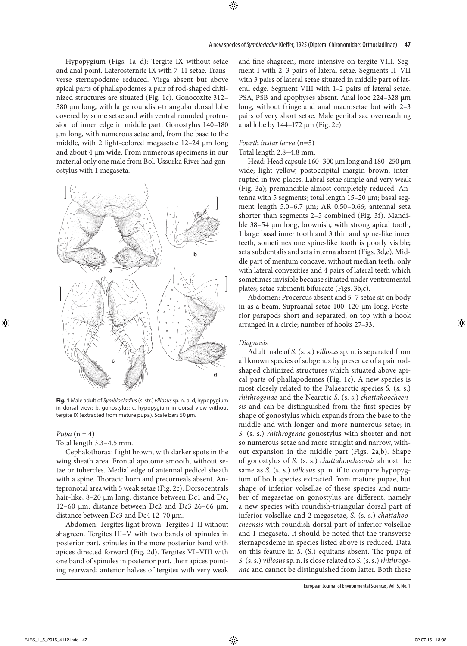Hypopygium (Figs. 1a–d): Tergite IX without setae and anal point. Laterosternite IX with 7–11 setae. Transverse sternapodeme reduced. Virga absent but above apical parts of phallapodemes a pair of rod-shaped chitinized structures are situated (Fig. 1c). Gonocoxite 312– 380 µm long, with large roundish-triangular dorsal lobe covered by some setae and with ventral rounded protrusion of inner edge in middle part. Gonostylus 140–180 µm long, with numerous setae and, from the base to the middle, with 2 light-colored megasetae 12–24 µm long and about 4 µm wide. From numerous specimens in our material only one male from Bol. Ussurka River had gonostylus with 1 megaseta.



**Fig. 1** Male adult of *Symbiocladius*(s. str.) *villosus* sp. n. a, d, hypopygium in dorsal view; b, gonostylus; c, hypopygium in dorsal view without tergite IX (extracted from mature pupa). Scale bars 50 µm.

## $Pupa (n = 4)$

Total length 3.3–4.5 mm.

Cephalothorax: Light brown, with darker spots in the wing sheath area. Frontal apotome smooth, without setae or tubercles. Medial edge of antennal pedicel sheath with a spine. Thoracic horn and precorneals absent. Antepronotal area with 5 weak setae (Fig. 2c). Dorsocentrals hair-like, 8-20  $\mu$ m long; distance between Dc1 and Dc<sub>2</sub> 12–60 µm; distance between Dc2 and Dc3 26–66 µm; distance between Dc3 and Dc4 12–70 µm.

Abdomen: Tergites light brown. Tergites I–II without shagreen. Tergites III–V with two bands of spinules in posterior part, spinules in the more posterior band with apices directed forward (Fig. 2d). Tergites VI–VIII with one band of spinules in posterior part, their apices pointing rearward; anterior halves of tergites with very weak

and fine shagreen, more intensive on tergite VIII. Segment I with 2–3 pairs of lateral setae. Segments II–VII with 3 pairs of lateral setae situated in middle part of lateral edge. Segment VIII with 1–2 pairs of lateral setae. PSA, PSB and apophyses absent. Anal lobe 224–328 µm long, without fringe and anal macrosetae but with 2–3 pairs of very short setae. Male genital sac overreaching anal lobe by 144–172 µm (Fig. 2e).

# *Fourth instar larva* (n=5)

Total length 2.8–4.8 mm.

Head: Head capsule 160–300 µm long and 180–250 µm wide; light yellow, postoccipital margin brown, interrupted in two places. Labral setae simple and very weak (Fig. 3a); premandible almost completely reduced. Antenna with 5 segments; total length 15–20 µm; basal segment length 5.0–6.7 µm; AR 0.50–0.66; antennal seta shorter than segments 2–5 combined (Fig. 3f). Mandible 38–54 µm long, brownish, with strong apical tooth, 1 large basal inner tooth and 3 thin and spine-like inner teeth, sometimes one spine-like tooth is poorly visible; seta subdentalis and seta interna absent (Figs. 3d,e). Middle part of mentum concave, without median teeth, only with lateral convexities and 4 pairs of lateral teeth which sometimes invisible because situated under ventromental plates; setae submenti bifurcate (Figs. 3b,c).

Abdomen: Procercus absent and 5–7 setae sit on body in as a beam. Supraanal setae 100–120 µm long. Posterior parapods short and separated, on top with a hook arranged in a circle; number of hooks 27–33.

#### *Diagnosis*

Adult male of *S.* (s. s.) *villosus* sp. n. is separated from all known species of subgenus by presence of a pair rodshaped chitinized structures which situated above apical parts of phallapodemes (Fig. 1c). A new species is most closely related to the Palaearctic species *S.* (s. s.) *rhithrogenae* and the Nearctic *S.* (s. s.) *chattahoocheensis* and can be distinguished from the first species by shape of gonostylus which expands from the base to the middle and with longer and more numerous setae; in *S.* (s. s.) *rhithrogenae* gonostylus with shorter and not so numerous setae and more straight and narrow, without expansion in the middle part (Figs. 2a,b). Shape of gonostylus of *S.* (s. s.) *chattahoocheensis* almost the same as *S.* (s. s.) *villosus* sp. n. if to compare hypopygium of both species extracted from mature pupae, but shape of inferior volsellae of these species and number of megasetae on gonostylus are different, namely a new species with roundish-triangular dorsal part of inferior volsellae and 2 megasetae, *S.* (s. s.) *chattahoocheensis* with roundish dorsal part of inferior volsellae and 1 megaseta. It should be noted that the transverse sternaposdeme in species listed above is reduced. Data on this feature in *S.* (S.) equitans absent. The pupa of *S.* (s. s.) *villosus* sp. n. is close related to *S.* (s. s.) *rhithrogenae* and cannot be distinguished from latter. Both these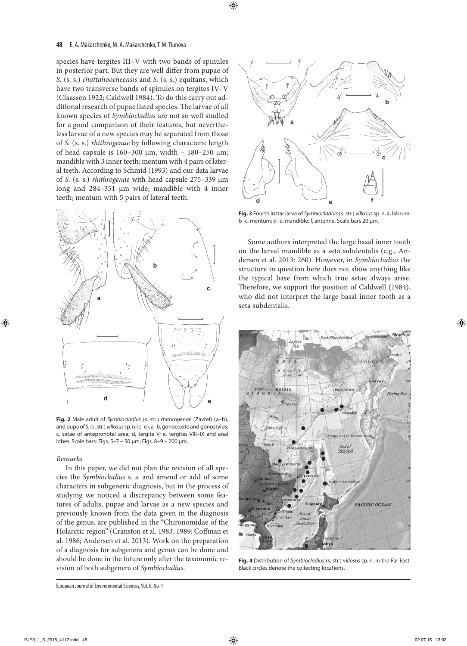species have tergites III–V with two bands of spinules in posterior part. But they are well differ from pupae of *S.* (s. s.) *chattahoocheensis* and *S.* (s. s.) equitans, which have two transverse bands of spinules on tergites IV–V (Claassen 1922; Caldwell 1984). To do this carry out additional research of pupae listed species. The larvae of all known species of *Symbiocladius* are not so well studied for a good comparison of their features, but nevertheless larvae of a new species may be separated from those of *S.* (s. s.) *rhithrogenae* by following characters: length of head capsule is  $160-300 \text{ µm}$ , width -  $180-250 \text{ µm}$ ; mandible with 3 inner teeth; mentum with 4 pairs of lateral teeth. According to Schmid (1993) and our data larvae of *S.* (s. s.) *rhithrogenae* with head capsule 275–339 µm long and 284–351 µm wide; mandible with 4 inner teeth; mentum with 5 pairs of lateral teeth.



**Fig. 2** Male adult of *Symbiocladius* (s. str.) *rhithrogenae* (Zavřel) (a–b), and pupa of *S.*(s. str.) *villosus* sp. n.(c–e). a–b, gonocoxite and gonostylus; c, setae of antepronotal area; d, tergite V; e, tergites VIII–IX and anal lobes. Scale bars: Figs. 5–7 – 50 µm; Figs. 8–9 – 200 µm.

# *Remarks*

In this paper, we did not plan the revision of all species the *Symbiocladius* s. s. and amend or add of some characters in subgeneric diagnosis, but in the process of studying we noticed a discrepancy between some features of adults, pupae and larvae as a new species and previously known from the data given in the diagnosis of the genus, are published in the "Chironomidae of the Holarctic region" (Cranston et al. 1983, 1989; Coffman et al. 1986; Andersen et al. 2013). Work on the preparation of a diagnosis for subgenera and genus can be done and should be done in the future only after the taxonomic revision of both subgenera of *Symbiocladius*.



**Fig. 3** Fourth instar larva of *Symbiocladius*(s. str.) *villosus* sp. n. a, labrum; b–c, mentum; d–e, mandible; f, antenna. Scale bars 20 µm.

Some authors interpreted the large basal inner tooth on the larval mandible as a seta subdentalis (e.g., Andersen et al. 2013: 260). However, in *Symbiocladius* the structure in question here does not show anything like the typical base from which true setae always arise. Therefore, we support the position of Caldwell (1984), who did not interpret the large basal inner tooth as a seta subdentalis.



**Fig. 4** Distribution of *Symbiocladius* (s. str.) *villosus* sp. n. in the Far East. Black circles denote the collecting locations.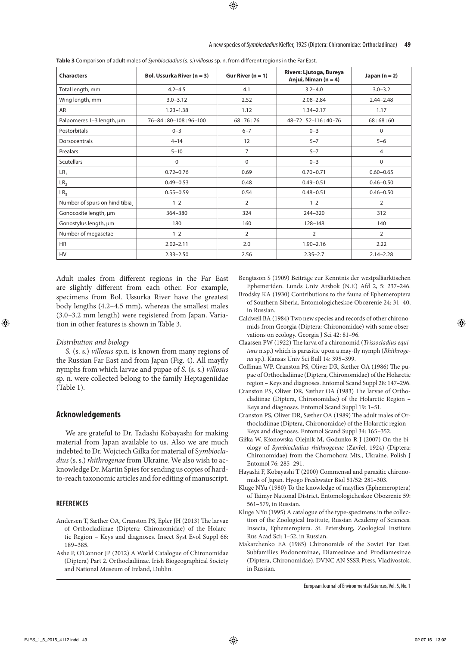| <b>Characters</b>             | Bol. Ussurka River $(n = 3)$ | Gur River $(n = 1)$ | Rivers: Ljutoga, Bureya<br>Anjui, Niman $(n = 4)$ | Japan $(n = 2)$ |  |
|-------------------------------|------------------------------|---------------------|---------------------------------------------------|-----------------|--|
| Total length, mm              | $4.2 - 4.5$                  | 4.1                 | $3.2 - 4.0$                                       | $3.0 - 3.2$     |  |
| Wing length, mm               | $3.0 - 3.12$                 | 2.52                | $2.08 - 2.84$                                     | $2.44 - 2.48$   |  |
| AR                            | $1.23 - 1.38$                | 1.12                | $1.34 - 2.17$                                     | 1.17            |  |
| Palpomeres 1-3 length, um     | 76-84:80-108:96-100          | 68:76:76            | $48 - 72:52 - 116:40 - 76$                        | 68:68:60        |  |
| Postorbitals                  | $0 - 3$                      | $6 - 7$             | $0 - 3$                                           | 0               |  |
| Dorsocentrals                 | $4 - 14$                     | 12                  | $5 - 7$                                           | $5 - 6$         |  |
| Prealars                      | $5 - 10$                     | $\overline{7}$      | $5 - 7$                                           | 4               |  |
| <b>Scutellars</b>             | $\Omega$                     | 0                   | $0 - 3$                                           | 0               |  |
| LR <sub>1</sub>               | $0.72 - 0.76$                | 0.69                | $0.70 - 0.71$                                     | $0.60 - 0.65$   |  |
| LR <sub>2</sub>               | $0.49 - 0.53$                | 0.48                | $0.49 - 0.51$                                     | $0.46 - 0.50$   |  |
| LR <sub>3</sub>               | $0.55 - 0.59$                | 0.54                | $0.48 - 0.51$                                     | $0.46 - 0.50$   |  |
| Number of spurs on hind tibia | $1 - 2$                      | 2                   | $1 - 2$                                           | 2               |  |
| Gonocoxite length, µm         | 364-380                      | 324                 | $244 - 320$                                       | 312             |  |
| Gonostylus length, µm         | 180                          | 160                 | 128-148                                           | 140             |  |
| Number of megasetae           | $1 - 2$                      | $\overline{2}$      | 2                                                 | 2               |  |
| <b>HR</b>                     | $2.02 - 2.11$                | 2.0                 | $1.90 - 2.16$                                     | 2.22            |  |
| <b>HV</b>                     | $2.33 - 2.50$                | 2.56                | $2.35 - 2.7$                                      | $2.14 - 2.28$   |  |

**Table 3** Comparison of adult males of *Symbiocladius* (s. s.) *villosus* sp. n. from different regions in the Far East.

Adult males from different regions in the Far East are slightly different from each other. For example, specimens from Bol. Ussurka River have the greatest body lengths (4.2–4.5 mm), whereas the smallest males (3.0–3.2 mm length) were registered from Japan. Variation in other features is shown in Table 3.

#### *Distribution and biology*

*S.* (s. s.) *villosus* sp.n. is known from many regions of the Russian Far East and from Japan (Fig. 4). All mayfly nymphs from which larvae and pupae of *S.* (s. s.) *villosus* sp. n. were collected belong to the family Heptageniidae (Table 1).

# **Acknowledgements**

We are grateful to Dr. Tadashi Kobayashi for making material from Japan available to us. Also we are much indebted to Dr. Wojciech Giłka for material of S*ymbiocladius* (s. s.) *rhithrogenae* from Ukraine. We also wish to acknowledge Dr. Martin Spies for sending us copies of hardto-reach taxonomic articles and for editing of manuscript.

#### **REFERENCES**

- Andersen T, Sæther OA, Cranston PS, Epler JH (2013) The larvae of Orthocladiinae (Diptera: Chironomidae) of the Holarctic Region – Keys and diagnoses. Insect Syst Evol Suppl 66: 189–385.
- Ashe P, O'Connor JP (2012) A World Catalogue of Chironomidae (Diptera) Part 2. Orthocladiinae. Irish Biogeographical Society and National Museum of Ireland, Dublin.

Bengtsson S (1909) Beiträge zur Kenntnis der westpaläarktischen Ephemeriden. Lunds Univ Arsbok (N.F.) Afd 2, 5: 237–246.

- Brodsky KA (1930) Contributions to the fauna of Ephemeroptera of Southern Siberia. Entomologicheskoe Obozrenie 24: 31–40, in Russian.
- Caldwell BA (1984) Two new species and records of other chironomids from Georgia (Diptera: Chironomidae) with some observations on ecology. Georgia J Sci 42: 81–96.
- Claassen PW (1922) The larva of a chironomid (*Trissocladius equitans* n.sp.) which is parasitic upon a may-fly nymph (*Rhithrogena* sp.). Kansas Univ Sci Bull 14: 395–399.
- Coffman WP, Cranston PS, Oliver DR, Sæther OA (1986) The pupae of Orthocladiinae (Diptera, Chironomidae) of the Holarctic region – Keys and diagnoses. Entomol Scand Suppl 28: 147–296.
- Cranston PS, Oliver DR, Sæther OA (1983) The larvae of Orthocladiinae (Diptera, Chironomidae) of the Holarctic Region – Keys and diagnoses. Entomol Scand Suppl 19: 1–51.
- Cranston PS, Oliver DR, Sæther OA (1989) The adult males of Orthocladiinae (Diptera, Chironomidae) of the Holarctic region – Keys and diagnoses. Entomol Scand Suppl 34: 165–352.
- Giłka W, Kłonowska-Olejnik M, Godunko R J (2007) On the biology of *Symbiocladius rhithrogenae* (Zavřel, 1924) (Diptera: Chironomidae) from the Chornohora Mts., Ukraine. Polish J Entomol 76: 285–291.
- Hayashi F, Kobayashi T (2000) Commensal and parasitic chironomids of Japan. Hyogo Freshwater Biol 51/52: 281–303.
- Kluge NYu (1980) To the knowledge of mayflies (Ephemeroptera) of Taimyr National District. Entomologicheskoe Obozrenie 59: 561–579, in Russian.
- Kluge NYu (1995) A catalogue of the type-specimens in the collection of the Zoological Institute, Russian Academy of Sciences. Insecta, Ephemeroptera. St. Petersburg, Zoological Institute Rus Acad Sci: 1–52, in Russian.
- Makarchenko EA (1985) Chironomids of the Soviet Far East. Subfamilies Podonominae, Diamesinae and Prodiamesinae (Diptera, Chironomidae). DVNC AN SSSR Press, Vladivostok, in Russian.